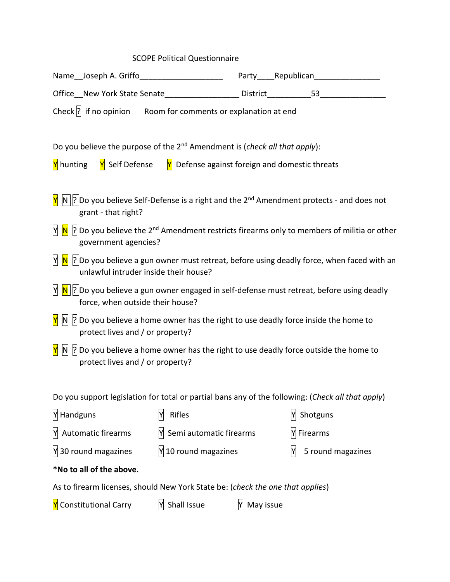# SCOPE Political Questionnaire

| Name__Joseph A. Griffo_______________________                                                                                                            |                                                |           | Party______Republican______________ |  |  |
|----------------------------------------------------------------------------------------------------------------------------------------------------------|------------------------------------------------|-----------|-------------------------------------|--|--|
|                                                                                                                                                          |                                                |           |                                     |  |  |
| Check $\left  \cdot \right $ if no opinion Room for comments or explanation at end                                                                       |                                                |           |                                     |  |  |
| Do you believe the purpose of the 2 <sup>nd</sup> Amendment is (check all that apply):                                                                   |                                                |           |                                     |  |  |
| Y Self Defense<br><b>Y</b> hunting                                                                                                                       | Y Defense against foreign and domestic threats |           |                                     |  |  |
| $\ N\ $ ? Do you believe Self-Defense is a right and the 2 <sup>nd</sup> Amendment protects - and does not<br>grant - that right?                        |                                                |           |                                     |  |  |
| $\left  \cdot \right $ Do you believe the 2 <sup>nd</sup> Amendment restricts firearms only to members of militia or other<br>M<br>government agencies?  |                                                |           |                                     |  |  |
| $\vert\mathbf{N}\vert$ ? Do you believe a gun owner must retreat, before using deadly force, when faced with an<br>unlawful intruder inside their house? |                                                |           |                                     |  |  |
| $\vert \mathbf{N} \vert$ ? Do you believe a gun owner engaged in self-defense must retreat, before using deadly<br>force, when outside their house?      |                                                |           |                                     |  |  |
| $\mathbb{N}$  ? Do you believe a home owner has the right to use deadly force inside the home to<br>protect lives and / or property?                     |                                                |           |                                     |  |  |
| Po you believe a home owner has the right to use deadly force outside the home to<br>protect lives and / or property?                                    |                                                |           |                                     |  |  |
| Do you support legislation for total or partial bans any of the following: (Check all that apply)                                                        |                                                |           |                                     |  |  |
| M Handguns                                                                                                                                               | Rifles<br>Y                                    |           | Y Shotguns                          |  |  |
| Automatic firearms                                                                                                                                       | $M$ Semi automatic firearms                    |           | Y Firearms                          |  |  |
| $\frac{N}{30}$ round magazines                                                                                                                           | $M$ 10 round magazines                         |           | M<br>5 round magazines              |  |  |
| *No to all of the above.                                                                                                                                 |                                                |           |                                     |  |  |
| As to firearm licenses, should New York State be: (check the one that applies)                                                                           |                                                |           |                                     |  |  |
| Y Constitutional Carry                                                                                                                                   | Shall Issue                                    | May issue |                                     |  |  |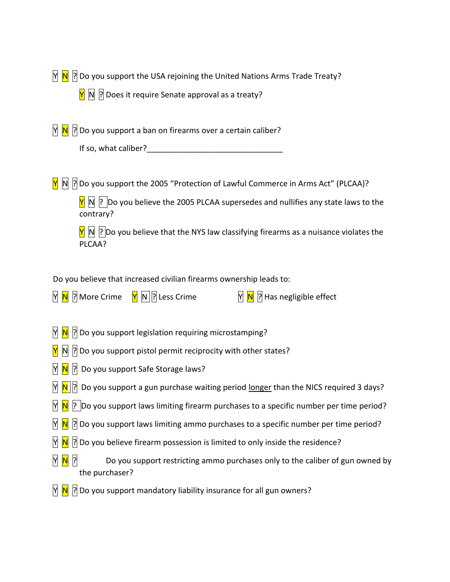$\overline{N}$   $\overline{N}$   $\overline{N}$  Do you support the USA rejoining the United Nations Arms Trade Treaty?

 $\boxed{\mathsf{N}}$   $\boxed{\mathsf{N}}$   $\boxed{\mathsf{R}}$  Does it require Senate approval as a treaty?

 $\overline{N}$   $\overline{N}$   $\overline{N}$  Do you support a ban on firearms over a certain caliber?

| If so, what caliber? |
|----------------------|
|----------------------|

 $\boxed{\mathsf{N}}$   $\boxed{\mathsf{N}}$   $\boxed{\mathsf{N}}$  Do you support the 2005 "Protection of Lawful Commerce in Arms Act" (PLCAA)?

 $\sqrt{Y}$  N ? Do you believe the 2005 PLCAA supersedes and nullifies any state laws to the contrary?

 $\overline{Y}$  N ? Do you believe that the NYS law classifying firearms as a nuisance violates the PLCAA?

Do you believe that increased civilian firearms ownership leads to:

|  |  | M <mark>N</mark> 2 More Crime M N ? Less Crime | <b>N N R</b> Has negligible effect |
|--|--|------------------------------------------------|------------------------------------|
|--|--|------------------------------------------------|------------------------------------|

- $\sqrt{N}$   $\sqrt{N}$   $\sqrt{2}$  Do you support legislation requiring microstamping?
- $\boxed{N}$  N  $\boxed{?}$  Do you support pistol permit reciprocity with other states?
- $\overline{N}$   $\overline{N}$   $\overline{S}$  Do you support Safe Storage laws?
- $\overline{N}$   $\overline{N}$  Do you support a gun purchase waiting period longer than the NICS required 3 days?
- $\overline{N}$   $\overline{N}$   $\overline{P}$  Do you support laws limiting firearm purchases to a specific number per time period?
- $\overline{N}$   $\overline{N}$   $\overline{N}$  Do you support laws limiting ammo purchases to a specific number per time period?
- $\overline{N}$   $\overline{N}$   $\overline{S}$  Do you believe firearm possession is limited to only inside the residence?
- $\overline{N}$   $\overline{N}$   $\overline{N}$   $\overline{R}$  Do you support restricting ammo purchases only to the caliber of gun owned by the purchaser?
- $\mathbb{N}$   $\mathbb{N}$   $\mathbb{N}$  Do you support mandatory liability insurance for all gun owners?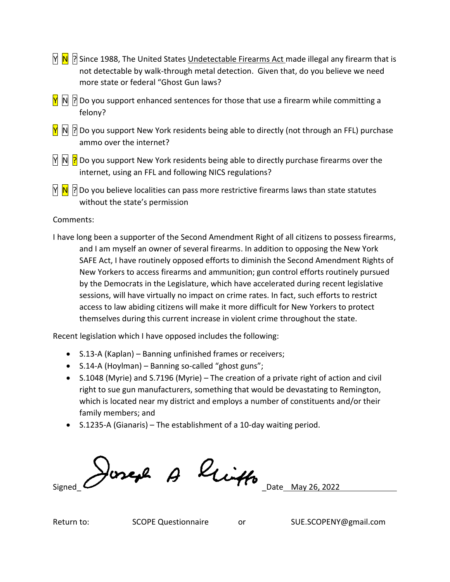- $\overline{N}$   $\overline{N}$  Since 1988, The United States Undetectable Firearms Act made illegal any firearm that is not detectable by walk-through [metal detection.](https://en.wikipedia.org/wiki/Metal_detector) Given that, do you believe we need more state or federal "Ghost Gun laws?
- $\overline{Y}$  N  $\overline{R}$  Do you support enhanced sentences for those that use a firearm while committing a felony?
- $\frac{N}{N}$  N  $\frac{N}{N}$  Do you support New York residents being able to directly (not through an FFL) purchase ammo over the internet?
- N N P Do you support New York residents being able to directly purchase firearms over the internet, using an FFL and following NICS regulations?
- $\mathbb{N}$   $\mathbb{N}$  |? Do you believe localities can pass more restrictive firearms laws than state statutes without the state's permission

## Comments:

I have long been a supporter of the Second Amendment Right of all citizens to possess firearms, and I am myself an owner of several firearms. In addition to opposing the New York SAFE Act, I have routinely opposed efforts to diminish the Second Amendment Rights of New Yorkers to access firearms and ammunition; gun control efforts routinely pursued by the Democrats in the Legislature, which have accelerated during recent legislative sessions, will have virtually no impact on crime rates. In fact, such efforts to restrict access to law abiding citizens will make it more difficult for New Yorkers to protect themselves during this current increase in violent crime throughout the state.

Recent legislation which I have opposed includes the following:

- S.13-A (Kaplan) Banning unfinished frames or receivers;
- S.14-A (Hoylman) Banning so-called "ghost guns";
- S.1048 (Myrie) and S.7196 (Myrie) The creation of a private right of action and civil right to sue gun manufacturers, something that would be devastating to Remington, which is located near my district and employs a number of constituents and/or their family members; and
- S.1235-A (Gianaris) The establishment of a 10-day waiting period.

Joseph A linth Date May 26, 2022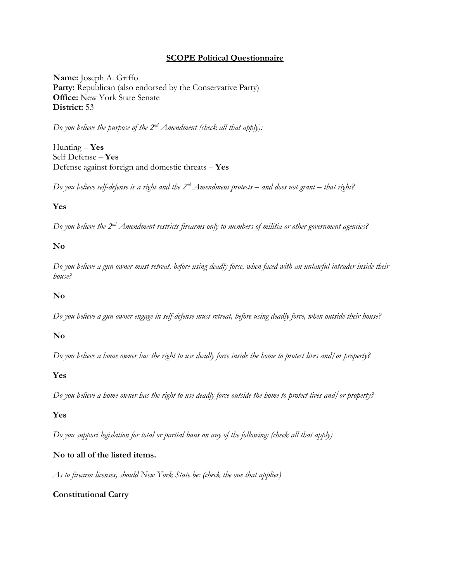#### **SCOPE Political Questionnaire**

**Name:** Joseph A. Griffo Party: Republican (also endorsed by the Conservative Party) **Office:** New York State Senate **District:** 53

*Do you believe the purpose of the 2nd Amendment (check all that apply):*

Hunting – **Yes** Self Defense – **Yes** Defense against foreign and domestic threats – **Yes**

*Do you believe self-defense is a right and the 2nd Amendment protects – and does not grant – that right?*

### **Yes**

*Do you believe the 2nd Amendment restricts firearms only to members of militia or other government agencies?*

#### **No**

*Do you believe a gun owner must retreat, before using deadly force, when faced with an unlawful intruder inside their house?*

#### **No**

*Do you believe a gun owner engage in self-defense must retreat, before using deadly force, when outside their house?*

#### **No**

*Do you believe a home owner has the right to use deadly force inside the home to protect lives and/or property?*

#### **Yes**

*Do you believe a home owner has the right to use deadly force outside the home to protect lives and/or property?*

### **Yes**

*Do you support legislation for total or partial bans on any of the following: (check all that apply)*

### **No to all of the listed items.**

*As to firearm licenses, should New York State be: (check the one that applies)*

#### **Constitutional Carry**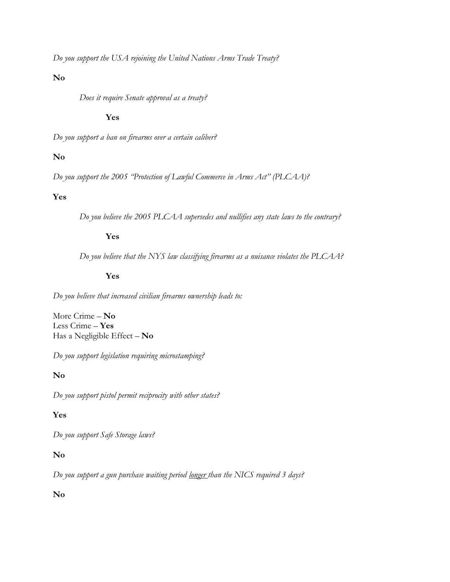*Do you support the USA rejoining the United Nations Arms Trade Treaty?*

### **No**

*Does it require Senate approval as a treaty?*

#### **Yes**

*Do you support a ban on firearms over a certain caliber?*

#### **No**

*Do you support the 2005 "Protection of Lawful Commerce in Arms Act" (PLCAA)?*

#### **Yes**

*Do you believe the 2005 PLCAA supersedes and nullifies any state laws to the contrary?*

#### **Yes**

*Do you believe that the NYS law classifying firearms as a nuisance violates the PLCAA?*

#### **Yes**

*Do you believe that increased civilian firearms ownership leads to:*

More Crime – **No** Less Crime – **Yes** Has a Negligible Effect – **No**

*Do you support legislation requiring microstamping?*

#### **No**

*Do you support pistol permit reciprocity with other states?*

#### **Yes**

*Do you support Safe Storage laws?*

### **No**

*Do you support a gun purchase waiting period longer than the NICS required 3 days?*

#### **No**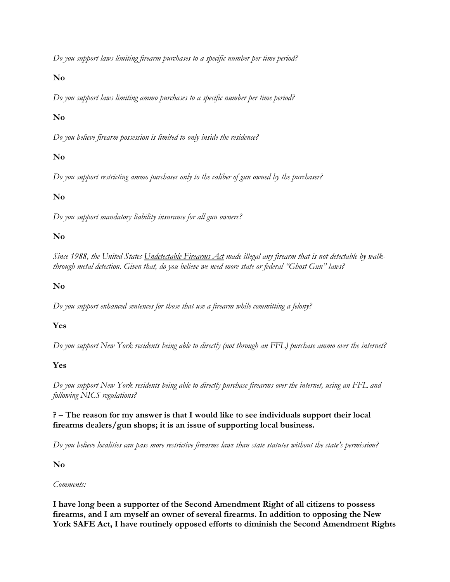*Do you support laws limiting firearm purchases to a specific number per time period?*

### **No**

*Do you support laws limiting ammo purchases to a specific number per time period?*

## **No**

*Do you believe firearm possession is limited to only inside the residence?*

## **No**

*Do you support restricting ammo purchases only to the caliber of gun owned by the purchaser?*

## **No**

*Do you support mandatory liability insurance for all gun owners?*

## **No**

*Since 1988, the United States Undetectable Firearms Act made illegal any firearm that is not detectable by walkthrough metal detection. Given that, do you believe we need more state or federal "Ghost Gun" laws?*

### **No**

*Do you support enhanced sentences for those that use a firearm while committing a felony?*

## **Yes**

*Do you support New York residents being able to directly (not through an FFL) purchase ammo over the internet?*

## **Yes**

*Do you support New York residents being able to directly purchase firearms over the internet, using an FFL and following NICS regulations?*

### **? – The reason for my answer is that I would like to see individuals support their local firearms dealers/gun shops; it is an issue of supporting local business.**

*Do you believe localities can pass more restrictive firearms laws than state statutes without the state's permission?*

### **No**

### *Comments:*

**I have long been a supporter of the Second Amendment Right of all citizens to possess firearms, and I am myself an owner of several firearms. In addition to opposing the New York SAFE Act, I have routinely opposed efforts to diminish the Second Amendment Rights**